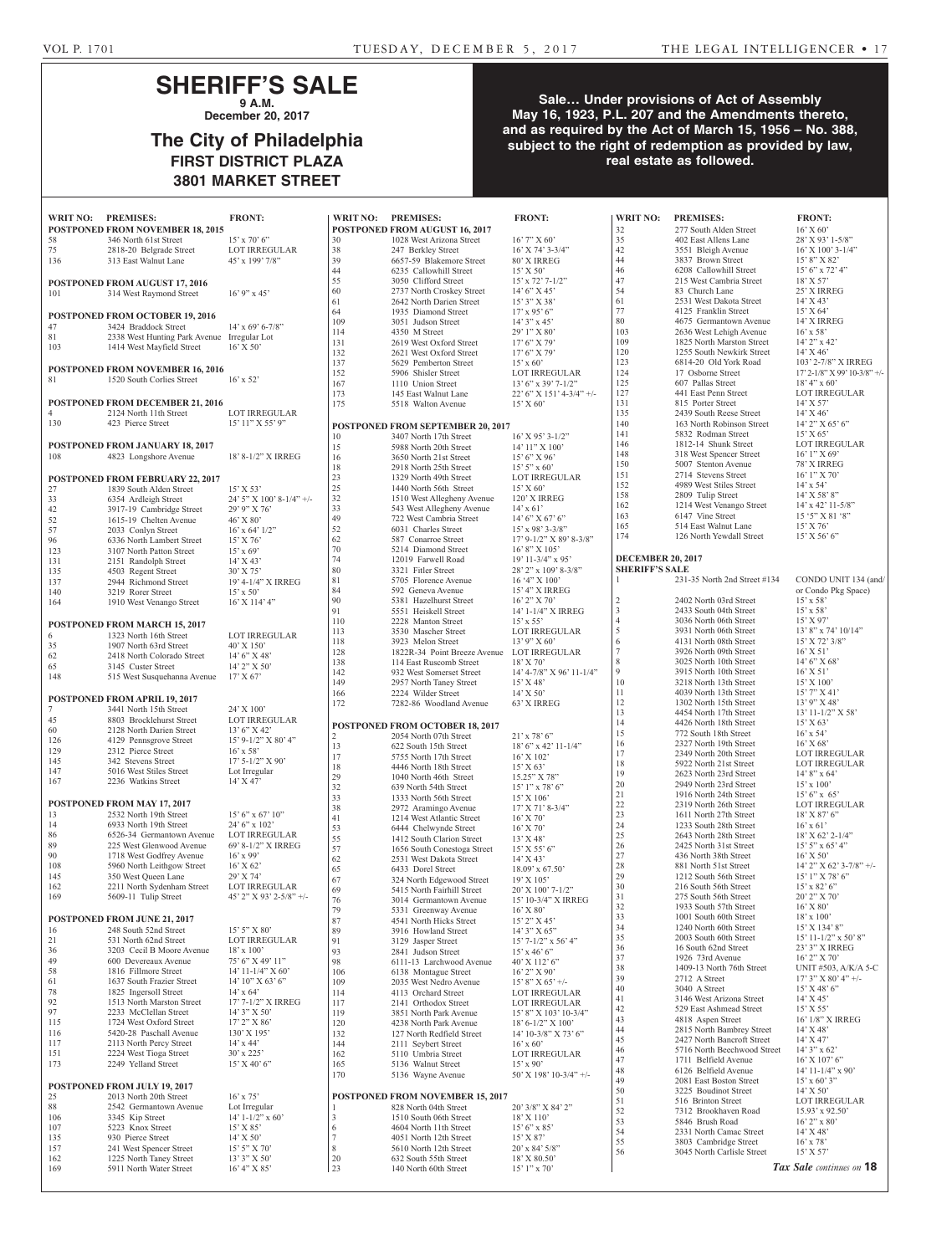## **SHERIFF'S SALE 9 A.M.**

**December 20, 2017**

# **The City of Philadelphia FIRST DISTRICT PLAZA 3801 MARKET STREET**

## **Sale… Under provisions of Act of Assembly May 16, 1923, P.L. 207 and the Amendments thereto, and as required by the Act of March 15, 1956 – No. 388, subject to the right of redemption as provided by law, real estate as followed.**

| WRIT NO: PREMISES: |                                                       | <b>FRONT:</b>                            | V                                |
|--------------------|-------------------------------------------------------|------------------------------------------|----------------------------------|
|                    | POSTPONED FROM NOVEMBER 18, 2015                      |                                          | P(                               |
| 58                 | 346 North 61st Street                                 | $15'$ x 70' 6"                           | 3(                               |
| 75                 | 2818-20 Belgrade Street                               | <b>LOT IRREGULAR</b>                     | 38                               |
| 136                | 313 East Walnut Lane                                  | 45' x 199' 7/8"                          | 3 <sup>0</sup><br>44             |
|                    | POSTPONED FROM AUGUST 17, 2016                        |                                          | 55                               |
| 101                | 314 West Raymond Street                               | $16'$ 9" x 45"                           | 60                               |
|                    |                                                       |                                          | 61                               |
|                    | <b>POSTPONED FROM OCTOBER 19, 2016</b>                |                                          | 64                               |
| 47                 | 3424 Braddock Street                                  | $14'$ x 69' 6-7/8"                       | 1(<br>11                         |
| 81                 | 2338 West Hunting Park Avenue Irregular Lot           |                                          | 13                               |
| 103                | 1414 West Mayfield Street                             | $16'$ X 50'                              | 13                               |
|                    | POSTPONED FROM NOVEMBER 16, 2016                      |                                          | 13                               |
| 81                 | 1520 South Corlies Street                             | $16'$ x 52'                              | 1.5<br>16                        |
|                    |                                                       |                                          | 17                               |
|                    | <b>POSTPONED FROM DECEMBER 21, 2016</b>               |                                          | 17                               |
| 4                  | 2124 North 11th Street                                | <b>LOT IRREGULAR</b>                     |                                  |
| 130                | 423 Pierce Street                                     | 15' 11" X 55' 9"                         | P(                               |
|                    | <b>POSTPONED FROM JANUARY 18, 2017</b>                |                                          | 1(<br>15                         |
| 108                | 4823 Longshore Avenue                                 | 18' 8-1/2" X IRREG                       | 16                               |
|                    |                                                       |                                          | 18                               |
|                    | <b>POSTPONED FROM FEBRUARY 22, 2017</b>               |                                          | 2 <sup>2</sup>                   |
| 27                 | 1839 South Alden Street                               | $15'$ X 53'                              | 2.5                              |
| 33<br>42           | 6354 Ardleigh Street                                  | 24' 5" X 100' 8-1/4" +/-<br>29' 9" X 76' | 3 <sup>2</sup><br>3 <sup>2</sup> |
| 52                 | 3917-19 Cambridge Street<br>1615-19 Chelten Avenue    | $46'$ X $80'$                            | 49                               |
| 57                 | 2033 Conlyn Street                                    | $16'$ x 64' $1/2"$                       | 52                               |
| 96                 | 6336 North Lambert Street                             | $15'$ X 76'                              | 62                               |
| 123                | 3107 North Patton Street                              | $15'$ x 69'                              | 70<br>74                         |
| 131<br>135         | 2151 Randolph Street<br>4503 Regent Street            | $14'$ X 43'<br>$30'$ X 75'               | 80                               |
| 137                | 2944 Richmond Street                                  | 19' 4-1/4" X IRREG                       | 81                               |
| 140                | 3219 Rorer Street                                     | $15' \times 50'$                         | 84                               |
| 164                | 1910 West Venango Street                              | 16' X 114' 4"                            | 90                               |
|                    |                                                       |                                          | 91<br>11                         |
|                    | <b>POSTPONED FROM MARCH 15, 2017</b>                  |                                          | 11                               |
| 6<br>35            | 1323 North 16th Street<br>1907 North 63rd Street      | <b>LOT IRREGULAR</b><br>$40'$ X $150'$   | 11                               |
| 62                 | 2418 North Colorado Street                            | $14'6''$ X 48'                           | 12                               |
| 65                 | 3145 Custer Street                                    | $14'$ 2" X 50'                           | 13                               |
| 148                | 515 West Susquehanna Avenue                           | 17' X 67'                                | 14<br>14                         |
|                    |                                                       |                                          |                                  |
|                    |                                                       |                                          |                                  |
|                    | POSTPONED FROM APRIL 19, 2017                         |                                          | 16<br>17                         |
| 7                  | 3441 North 15th Street                                | 24' X 100'                               |                                  |
| 45                 | 8803 Brocklehurst Street                              | LOT IRREGULAR                            | P                                |
| 60<br>126          | 2128 North Darien Street<br>4129 Pennsgrove Street    | $13'6''$ X 42'<br>15' 9-1/2" X 80' 4"    | 2                                |
| 129                | 2312 Pierce Street                                    | $16'$ x 58'                              | 13                               |
| 145                | 342 Stevens Street                                    | 17' 5-1/2" X 90'                         | 17                               |
| 147                | 5016 West Stiles Street                               | Lot Irregular                            | 18<br>2 <sup>0</sup>             |
| 167                | 2236 Watkins Street                                   | 14' X 47'                                | 32                               |
|                    |                                                       |                                          | 3 <sup>2</sup>                   |
| 13                 | POSTPONED FROM MAY 17, 2017<br>2532 North 19th Street | $15'$ 6" x 67' 10"                       | 38                               |
| 14                 | 6933 North 19th Street                                | 24' 6" x 102'                            | 4 <sub>1</sub><br>53             |
| 86                 | 6526-34 Germantown Avenue                             | <b>LOT IRREGULAR</b>                     | 55                               |
| 89                 | 225 West Glenwood Avenue                              | 69' 8-1/2" X IRREG                       | 51                               |
| 90<br>108          | 1718 West Godfrey Avenue                              | $16'$ x 99'                              | 62                               |
| 145                | 5960 North Leithgow Street<br>350 West Queen Lane     | $16'$ X 62'<br>29' X 74'                 | 65                               |
| 162                | 2211 North Sydenham Street                            | <b>LOT IRREGULAR</b>                     | 67<br>69                         |
| 169                | 5609-11 Tulip Street                                  | 45' 2" X 93' 2-5/8" +/-                  | 76                               |
|                    |                                                       |                                          | 79                               |
|                    | POSTPONED FROM JUNE 21, 2017                          |                                          | 8 <sup>7</sup>                   |
| 16<br>21           | 248 South 52nd Street<br>531 North 62nd Street        | $15'5''$ X 80'<br><b>LOT IRREGULAR</b>   | 89<br>91                         |
| 36                 | 3203 Cecil B Moore Avenue                             | $18' \times 100'$                        | 93                               |
| 49                 | 600 Devereaux Avenue                                  | 75' 6" X 49' 11"                         | 98                               |
| 58                 | 1816 Fillmore Street                                  | 14' 11-1/4" X 60'                        | 1(                               |
| 61                 | 1637 South Frazier Street                             | $14'$ 10" X 63' 6"                       | 1(                               |
| 78<br>92           | 1825 Ingersoll Street<br>1513 North Marston Street    | $14' \times 64'$<br>17' 7-1/2" X IRREG   | 11<br>11                         |
| 97                 | 2233 McClellan Street                                 | 14'3'' X 50'                             | 11                               |
| 115                | 1724 West Oxford Street                               | $17'$ $2''$ X $86'$                      | 12                               |
| 116                | 5420-28 Paschall Avenue                               | $130'$ X $195'$                          | 13                               |
| 117                | 2113 North Percy Street                               | $14'$ x $44'$                            | 14                               |
| 151<br>173         | 2224 West Tioga Street<br>2249 Yelland Street         | $30'$ x $225'$<br>$15'$ X 40' 6"         | 16<br>16                         |
|                    |                                                       |                                          | 17                               |
|                    | POSTPONED FROM JULY 19, 2017                          |                                          |                                  |
| 25                 | 2013 North 20th Street                                | $16'$ x $75'$                            | P(                               |
| 88                 | 2542 Germantown Avenue                                | Lot Irregular                            | $\mathbf{1}$                     |
| 106<br>107         | 3345 Kip Street<br>5223 Knox Street                   | $14'$ 1-1/2" x 60'<br>$15'$ X $85'$      | $\mathfrak{Z}$<br>6              |
| 135                | 930 Pierce Street                                     | $14'$ X 50'                              | $\overline{7}$                   |
| 157<br>162         | 241 West Spencer Street<br>1225 North Taney Street    | 15' 5" X 70'<br>$13'3''$ X 50'           | 8<br>$\overline{2}$              |

|            | POSTPONED FROM AUGUST 16, 2017                     |                                              |
|------------|----------------------------------------------------|----------------------------------------------|
| 30         | 1028 West Arizona Street                           | $16'$ 7" X 60'                               |
| 38         | 247 Berkley Street                                 | 16' X 74' 3-3/4"                             |
| 39         | 6657-59 Blakemore Street                           | 80' X IRREG                                  |
| 44<br>55   | 6235 Callowhill Street<br>3050 Clifford Street     | 15' X 50'<br>$15'$ x $72'$ 7- $1/2''$        |
| 60         | 2737 North Croskey Street                          | $14'6''$ X 45'                               |
| 61         | 2642 North Darien Street                           | 15' 3" X 38'                                 |
| 64         | 1935 Diamond Street                                | $17'$ x 95' 6"                               |
| 109        | 3051 Judson Street                                 | $14'3''$ x 45'                               |
| 114        | 4350 M Street                                      | 29' 1" X 80'                                 |
| 131        | 2619 West Oxford Street                            | 17' 6" X 79'                                 |
| 132        | 2621 West Oxford Street                            | $17'6''$ X 79'                               |
| 137<br>152 | 5629 Pemberton Street<br>5906 Shisler Street       | $15' \times 60'$<br><b>LOT IRREGULAR</b>     |
| 167        | 1110 Union Street                                  | $13'$ 6" x 39' 7-1/2"                        |
| 173        | 145 East Walnut Lane                               | 22' 6" X 151' 4-3/4" +/-                     |
| 175        | 5518 Walton Avenue                                 | 15' X 60'                                    |
|            |                                                    |                                              |
|            | <b>POSTPONED FROM SEPTEMBER 20, 2017</b>           |                                              |
| 10         | 3407 North 17th Street                             | $16'$ X 95' 3-1/2"                           |
| 15<br>16   | 5988 North 20th Street<br>3650 North 21st Street   | 14' 11" X 100'<br>$15'6''$ X 96'             |
| 18         | 2918 North 25th Street                             | $15'5''$ x 60'                               |
| 23         | 1329 North 49th Street                             | <b>LOT IRREGULAR</b>                         |
| 25         | 1440 North 56th Street                             | 15' X 60'                                    |
| 32         | 1510 West Allegheny Avenue                         | 120' X IRREG                                 |
| 33         | 543 West Allegheny Avenue                          | $14' \times 61'$                             |
| 49         | 722 West Cambria Street                            | 14' 6" X 67' 6"                              |
| 52         | 6031 Charles Street                                | 15' x 98' 3-3/8"                             |
| 62<br>70   | 587 Conarroe Street<br>5214 Diamond Street         | 17' 9-1/2" X 89' 8-3/8"<br>$16'$ 8" X $105'$ |
| 74         | 12019 Farwell Road                                 | 19' 11-3/4" x 95'                            |
| 80         | 3321 Fitler Street                                 | 28' 2" x 109' 8-3/8"                         |
| 81         | 5705 Florence Avenue                               | 16 '4" X 100'                                |
| 84         | 592 Geneva Avenue                                  | 15' 4" X IRREG                               |
| 90         | 5381 Hazelhurst Street                             | $16'$ 2" X 70"                               |
| 91         | 5551 Heiskell Street                               | 14' 1-1/4" X IRREG                           |
| 110        | 2228 Manton Street<br>3530 Mascher Street          | $15'$ x 55'<br><b>LOT IRREGULAR</b>          |
| 113<br>118 | 3923 Melon Street                                  | $13'9''$ X 60'                               |
| 128        | 1822R-34 Point Breeze Avenue                       | <b>LOT IRREGULAR</b>                         |
| 138        | 114 East Ruscomb Street                            | 18' X 70'                                    |
| 142        | 932 West Somerset Street                           | 14' 4-7/8" X 96' 11-1/4"                     |
| 149        | 2957 North Taney Street                            | $15'$ X 48'                                  |
| 166        | 2224 Wilder Street                                 | $14'$ X 50'                                  |
| 172        | 7282-86 Woodland Avenue                            | 63' X IRREG                                  |
|            |                                                    |                                              |
|            |                                                    |                                              |
|            | <b>POSTPONED FROM OCTOBER 18, 2017</b>             |                                              |
| 2          | 2054 North 07th Street                             | $21'$ x 78' 6"                               |
| 13<br>17   | 622 South 15th Street<br>5755 North 17th Street    | $18'$ 6" x 42' 11-1/4"<br>16' X 102'         |
| 18         | 4446 North 18th Street                             | 15' X 63'                                    |
| 29         | 1040 North 46th Street                             | 15.25" X 78"                                 |
| 32         | 639 North 54th Street                              | 15' 1" x 78' 6"                              |
| 33         | 1333 North 56th Street                             | $15^{\circ}\, \mathrm{X}$ $106^{\circ}$      |
| 38         | 2972 Aramingo Avenue                               | 17' X 71' 8-3/4"                             |
| 41         | 1214 West Atlantic Street                          | 16' X 70'                                    |
| 53<br>55   | 6444 Chelwynde Street<br>1412 South Clarion Street | 16' X 70'<br>13' X 48'                       |
| 57         | 1656 South Conestoga Street                        | 15' X 55' 6"                                 |
| 62         | 2531 West Dakota Street                            | 14' X 43'                                    |
| 65         | 6433 Dorel Street                                  | $18.09'$ x 67.50'                            |
| 67         | 324 North Edgewood Street                          | 19' X 105'                                   |
| 69         | 5415 North Fairhill Street                         | 20' X 100' 7-1/2"                            |
| 76<br>79   | 3014 Germantown Avenue                             | 15' 10-3/4" X IRREG<br>$16'$ X $80'$         |
| 87         | 5331 Greenway Avenue<br>4541 North Hicks Street    | $15'$ 2" X 45'                               |
| 89         | 3916 Howland Street                                | $14'3''$ X 65"                               |
| 91         | 3129 Jasper Street                                 | $15'$ 7- $1/2''$ x 56' 4"                    |
| 93         | 2841 Judson Street                                 | $15'$ x 46' 6"                               |
| 98         | 6111-13 Larchwood Avenue                           | 40' X 112' 6"                                |
| 106        | 6138 Montague Street                               | $16'$ 2" X 90'                               |
| 109<br>114 | 2035 West Nedro Avenue<br>4113 Orchard Street      | $15'8''$ X $65'$ +/-<br>LOT IRREGULAR        |
| 117        | 2141 Orthodox Street                               | LOT IRREGULAR                                |
| 119        | 3851 North Park Avenue                             | 15' 8" X 103' 10-3/4"                        |
| 120        | 4238 North Park Avenue                             | $18^\circ$ 6-1/2" X $100^\circ$              |
| 132        | 127 North Redfield Street                          | 14' 10-3/8" X 73' 6"                         |
| 144        | 2111 Seybert Street                                | $16'$ x 60'                                  |
| 162        | 5110 Umbria Street                                 | <b>LOT IRREGULAR</b>                         |
| 165<br>170 | 5136 Walnut Street<br>5136 Wayne Avenue            | $15'$ x 90'<br>50' X 198' 10-3/4" +/-        |
|            |                                                    |                                              |
|            | <b>POSTPONED FROM NOVEMBER 15, 2017</b>            |                                              |
| 1          | 828 North 04th Street                              | 20' 3/8" X 84' 2"                            |
| 3          | 1510 South 06th Street                             | $18'$ X $110'$                               |
| 6          | 4604 North 11th Street                             | $15'6''$ x 85'                               |
| 7<br>8     | 4051 North 12th Street<br>5610 North 12th Street   | $15'$ X 87'<br>$20'$ x 84' $5/8$ "           |
| 20         | 632 South 55th Street<br>140 North 60th Street     | $18'$ X $80.50'$                             |

| <b>VRIT NO:</b>         | <b>PREMISES:</b>                        | <b>FRONT:</b>               | <b>WRIT NO:</b>          | <b>PREMISES:</b>             | <b>FRONT:</b>                |
|-------------------------|-----------------------------------------|-----------------------------|--------------------------|------------------------------|------------------------------|
|                         |                                         |                             |                          |                              |                              |
|                         | 'OSTPONED FROM AUGUST 16, 2017          |                             | 32                       | 277 South Alden Street       | $16'$ X 60'                  |
| 0                       | 1028 West Arizona Street                | $16'$ 7" X 60'              | 35                       | 402 East Allens Lane         | 28' X 93' 1-5/8"             |
| 8                       | 247 Berkley Street                      | 16' X 74' 3-3/4"            | 42                       | 3551 Bleigh Avenue           | $16'$ X $100'$ 3- $1/4"$     |
|                         |                                         |                             |                          |                              |                              |
| 9                       | 6657-59 Blakemore Street                | 80' X IRREG                 | 44                       | 3837 Brown Street            | $15'8''$ X 82'               |
| 4                       | 6235 Callowhill Street                  | 15' X 50'                   | 46                       | 6208 Callowhill Street       | 15' 6" x 72' 4"              |
| 5                       | 3050 Clifford Street                    | $15'$ x $72'$ 7- $1/2''$    | 47                       | 215 West Cambria Street      | $18'$ X 57'                  |
|                         |                                         |                             | 54                       | 83 Church Lane               |                              |
| 0                       | 2737 North Croskey Street               | $14'6''$ X 45'              |                          |                              | 25' X IRREG                  |
|                         | 2642 North Darien Street                | $15'3''$ X 38'              | 61                       | 2531 West Dakota Street      | $14'$ X 43'                  |
| 4                       | 1935 Diamond Street                     | $17'$ x 95' 6"              | 77                       | 4125 Franklin Street         | $15'$ X 64'                  |
|                         |                                         |                             | 80                       | 4675 Germantown Avenue       | 14' X IRREG                  |
| 09                      | 3051 Judson Street                      | $14'3''$ x 45'              |                          |                              |                              |
| 14                      | 4350 M Street                           | 29' 1" X 80'                | 103                      | 2636 West Lehigh Avenue      | $16'$ x 58'                  |
| 31                      | 2619 West Oxford Street                 | $17'6''$ X 79'              | 109                      | 1825 North Marston Street    | $14'$ 2" x 42'               |
| 32                      | 2621 West Oxford Street                 | $17'6''$ X 79'              | 120                      | 1255 South Newkirk Street    | $14'$ X $46'$                |
|                         |                                         |                             |                          |                              |                              |
| 37                      | 5629 Pemberton Street                   | $15' \times 60'$            | 123                      | 6814-20 Old York Road        | 103' 2-7/8" X IRREG          |
| 52                      | 5906 Shisler Street                     | LOT IRREGULAR               | 124                      | 17 Osborne Street            | 17' 2-1/8" X 99' 10-3/8" +/- |
|                         |                                         |                             | 125                      | 607 Pallas Street            | $18' 4''$ x 60'              |
| 67                      | 1110 Union Street                       | $13'6''$ x 39' 7-1/2"       |                          |                              |                              |
| 73                      | 145 East Walnut Lane                    | 22' 6" X 151' 4-3/4" +/-    | 127                      | 441 East Penn Street         | <b>LOT IRREGULAR</b>         |
| 75                      | 5518 Walton Avenue                      | 15' X 60'                   | 131                      | 815 Porter Street            | $14'$ X 57'                  |
|                         |                                         |                             | 135                      | 2439 South Reese Street      |                              |
|                         |                                         |                             |                          |                              | $14'$ X 46'                  |
|                         | <b>OSTPONED FROM SEPTEMBER 20, 2017</b> |                             | 140                      | 163 North Robinson Street    | 14' 2" X 65' 6"              |
|                         | 3407 North 17th Street                  |                             | 141                      | 5832 Rodman Street           | 15' X 65'                    |
| 0                       |                                         | $16'$ X 95' 3-1/2"          | 146                      | 1812-14 Shunk Street         | <b>LOT IRREGULAR</b>         |
| 5                       | 5988 North 20th Street                  | 14' 11" X 100'              |                          |                              |                              |
| 6                       | 3650 North 21st Street                  | $15'6''$ X 96'              | 148                      | 318 West Spencer Street      | $16'1''$ X 69'               |
|                         |                                         |                             | 150                      | 5007 Stenton Avenue          | 78' X IRREG                  |
| 8                       | 2918 North 25th Street                  | $15'5'' \times 60'$         |                          | 2714 Stevens Street          |                              |
| $\overline{\mathbf{3}}$ | 1329 North 49th Street                  | <b>LOT IRREGULAR</b>        | 151                      |                              | $16'1''$ X 70'               |
|                         | 1440 North 56th Street                  | 15' X 60'                   | 152                      | 4989 West Stiles Street      | $14' \times 54'$             |
| $\frac{5}{2}$           |                                         |                             | 158                      | 2809 Tulip Street            | $14'$ X 58' 8"               |
|                         | 1510 West Allegheny Avenue              | 120' X IRREG                |                          |                              |                              |
|                         | 543 West Allegheny Avenue               | $14' \times 61'$            | 162                      | 1214 West Venango Street     | $14'$ x $42'$ 11-5/8"        |
| 9                       | 722 West Cambria Street                 | $14'6''$ X 67' 6"           | 163                      | 6147 Vine Street             | 15 '5" X 81 '8"              |
|                         |                                         |                             | 165                      | 514 East Walnut Lane         | $15'$ X 76'                  |
| $\overline{\mathbf{c}}$ | 6031 Charles Street                     | 15' x 98' 3-3/8"            |                          |                              |                              |
| $\overline{\mathbf{c}}$ | 587 Conarroe Street                     | 17' 9-1/2" X 89' 8-3/8"     | 174                      | 126 North Yewdall Street     | $15'$ X 56' 6"               |
| $\overline{0}$          | 5214 Diamond Street                     | $16'$ 8" X $105'$           |                          |                              |                              |
|                         |                                         |                             |                          |                              |                              |
| 4                       | 12019 Farwell Road                      | $19'$ 11-3/4" x 95'         | <b>DECEMBER 20, 2017</b> |                              |                              |
| 0                       | 3321 Fitler Street                      | 28' 2" x 109' 8-3/8"        | <b>SHERIFF'S SALE</b>    |                              |                              |
|                         | 5705 Florence Avenue                    |                             | $\mathbf{1}$             | 231-35 North 2nd Street #134 | CONDO UNIT 134 (and/         |
|                         |                                         | $16'4''$ X $100'$           |                          |                              |                              |
| 4                       | 592 Geneva Avenue                       | 15' 4" X IRREG              |                          |                              | or Condo Pkg Space)          |
| $\bf{0}$                | 5381 Hazelhurst Street                  | $16'$ 2" X 70"              | $\sqrt{2}$               | 2402 North 03rd Street       | $15'$ x 58'                  |
|                         |                                         |                             | $\mathfrak{Z}$           |                              |                              |
| 1                       | 5551 Heiskell Street                    | 14' 1-1/4" X IRREG          |                          | 2433 South 04th Street       | $15' \times 58'$             |
| 10                      | 2228 Manton Street                      | $15'$ x 55'                 | $\overline{4}$           | 3036 North 06th Street       | $15'$ X 97'                  |
| 13                      | 3530 Mascher Street                     | <b>LOT IRREGULAR</b>        | 5                        | 3931 North 06th Street       | 13' 8" x 74' 10/14"          |
|                         |                                         |                             |                          |                              |                              |
| 18                      | 3923 Melon Street                       | $13'$ 9" X 60"              | 6                        | 4131 North 08th Street       | $15'$ X 72' 3/8"             |
| 28                      | 1822R-34 Point Breeze Avenue            | <b>LOT IRREGULAR</b>        | $\tau$                   | 3926 North 09th Street       | $16'$ X 51'                  |
| 38                      | 114 East Ruscomb Street                 | $18'$ X 70'                 | 8                        | 3025 North 10th Street       | $14'6''$ X 68'               |
|                         |                                         |                             |                          |                              |                              |
| 42                      | 932 West Somerset Street                | 14' 4-7/8" X 96' 11-1/4"    | 9                        | 3915 North 10th Street       | $16'$ X 51'                  |
| 49                      | 2957 North Taney Street                 | 15' X 48'                   | 10                       | 3218 North 13th Street       | $15'$ X $100'$               |
| 66                      | 2224 Wilder Street                      | $14'$ X 50'                 | 11                       | 4039 North 13th Street       | $15'$ 7" X 41'               |
|                         |                                         |                             |                          |                              |                              |
| 72                      | 7282-86 Woodland Avenue                 | 63' X IRREG                 | 12                       | 1302 North 15th Street       | $13'$ 9" X 48'               |
|                         |                                         |                             | 13                       | 4454 North 17th Street       | 13' 11-1/2" X 58'            |
|                         |                                         |                             | 14                       | 4426 North 18th Street       | $15'$ X 63'                  |
|                         | <b>OSTPONED FROM OCTOBER 18, 2017</b>   |                             |                          |                              |                              |
|                         | 2054 North 07th Street                  | $21'$ x 78' 6"              | 15                       | 772 South 18th Street        | $16'$ x 54'                  |
| 3                       | 622 South 15th Street                   | $18'6''$ x 42' 11-1/4"      | 16                       | 2327 North 19th Street       | $16'$ X 68'                  |
|                         |                                         |                             | 17                       | 2349 North 20th Street       | LOT IRREGULAR                |
| 7                       | 5755 North 17th Street                  | $16'$ X $102'$              |                          |                              |                              |
| 8                       | 4446 North 18th Street                  | 15' X 63'                   | 18                       | 5922 North 21st Street       | <b>LOT IRREGULAR</b>         |
| 9                       | 1040 North 46th Street                  | 15.25" X 78"                | 19                       | 2623 North 23rd Street       | $14'8''$ x 64'               |
|                         |                                         |                             | 20                       | 2949 North 23rd Street       | $15' \times 100'$            |
| $\overline{\mathbf{c}}$ | 639 North 54th Street                   | $15'1''$ x 78' 6"           |                          |                              |                              |
| 3                       | 1333 North 56th Street                  | 15' X 106'                  | 21                       | 1916 North 24th Street       | $15'6''$ x 65'               |
| 8                       | 2972 Aramingo Avenue                    | $17'$ X 71' 8-3/4"          | 22                       | 2319 North 26th Street       | <b>LOT IRREGULAR</b>         |
|                         |                                         |                             | 23                       | 1611 North 27th Street       | $18'$ X $87'$ 6"             |
| 1                       | 1214 West Atlantic Street               | $16'$ X 70'                 |                          |                              |                              |
| 3                       | 6444 Chelwynde Street                   | $16'$ X 70'                 | 24                       | 1233 South 28th Street       | $16'$ x 61'                  |
|                         | 1412 South Clarion Street               | 13' X 48'                   | 25                       | 2643 North 28th Street       | $18'$ X 62' 2-1/4"           |
| 5                       |                                         |                             | 26                       | 2425 North 31st Street       | $15'5''$ x $65'4''$          |
| 7                       | 1656 South Conestoga Street             | $15'$ X 55' 6"              |                          |                              |                              |
|                         | 2531 West Dakota Street                 | $14'$ X 43'                 | 27                       | 436 North 38th Street        | $16'$ X 50'                  |
| $\frac{2}{5}$           | 6433 Dorel Street                       | $18.09'$ x 67.50'           | 28                       | 881 North 51st Street        | 14' 2" X 62' 3-7/8" +/-      |
|                         |                                         |                             | 29                       | 1212 South 56th Street       | $15'1''$ X 78' 6"            |
| 7                       | 324 North Edgewood Street               | 19' X 105'                  |                          |                              |                              |
| 9                       | 5415 North Fairhill Street              | $20'$ X $100'$ 7-1/2"       | 30                       | 216 South 56th Street        | $15'$ x 82' 6"               |
| 6                       | 3014 Germantown Avenue                  | 15' 10-3/4" X IRREG         | 31                       | 275 South 56th Street        | $20'$ 2" X 70'               |
|                         |                                         |                             | 32                       | 1933 South 57th Street       | $16'$ X $80'$                |
| 9                       | 5331 Greenway Avenue                    | $16'$ X $80'$               |                          |                              |                              |
| 7                       | 4541 North Hicks Street                 | $15'$ 2" X 45'              | 33                       | 1001 South 60th Street       | $18' \times 100'$            |
| 9                       | 3916 Howland Street                     | $14'3''$ X 65"              | 34                       | 1240 North 60th Street       | $15'$ X $134'$ 8"            |
|                         |                                         |                             | 35                       | 2003 South 60th Street       | $15'$ 11-1/2" x 50' 8"       |
| 1                       | 3129 Jasper Street                      | $15'$ 7-1/2" x 56' 4"       |                          |                              |                              |
| 3                       | 2841 Judson Street                      | $15'$ x 46' 6"              | 36                       | 16 South 62nd Street         | 23' 3" X IRREG               |
| 8                       |                                         |                             | 37                       | 1926 73rd Avenue             | 16' 2" X 70'                 |
|                         | 6111-13 Larchwood Avenue                | 40' X 112' 6"               | 38                       | 1409-13 North 76th Street    | UNIT #503, A/K/A 5-C         |
| 06                      | 6138 Montague Street                    | $16'$ 2" X 90'              |                          |                              |                              |
| 09                      | 2035 West Nedro Avenue                  | $15'8''$ X 65' +/-          | 39                       | 2712 A Street                | $17'3''$ X 80' 4" +/-        |
|                         |                                         |                             | 40                       | 3040 A Street                | $15'$ X 48' 6"               |
| 14                      | 4113 Orchard Street                     | LOT IRREGULAR               | 41                       | 3146 West Arizona Street     | $14'$ X $45'$                |
| 17                      | 2141 Orthodox Street                    | LOT IRREGULAR               |                          |                              |                              |
| 19                      | 3851 North Park Avenue                  | $15'$ 8" X $103'$ $10-3/4"$ | 42                       | 529 East Ashmead Street      | $15'$ X 55'                  |
|                         |                                         |                             | 43                       | 4818 Aspen Street            | 16' 1/8" X IRREG             |
| 20                      | 4238 North Park Avenue                  | $18' 6 - 1/2'' X 100'$      | 44                       | 2815 North Bambrey Street    | $14'$ X 48'                  |
| 32                      | 127 North Redfield Street               | 14' 10-3/8" X 73' 6"        |                          |                              |                              |
| 44                      | 2111 Seybert Street                     | $16'$ x 60'                 | 45                       | 2427 North Bancroft Street   | $14'$ X $47'$                |
|                         |                                         |                             | 46                       | 5716 North Beechwood Street  | $14'3''$ x 62'               |
| 62                      | 5110 Umbria Street                      | LOT IRREGULAR               | 47                       | 1711 Belfield Avenue         | $16'$ X $107'$ 6"            |
| 65                      | 5136 Walnut Street                      | $15'$ x 90'                 |                          |                              |                              |
| 70                      | 5136 Wayne Avenue                       | 50' X 198' 10-3/4" +/-      | 48                       | 6126 Belfield Avenue         | $14'$ 11-1/4" x 90"          |
|                         |                                         |                             | 49                       | 2081 East Boston Street      | $15'$ x 60' 3"               |
|                         |                                         |                             |                          |                              |                              |
|                         | OSTPONED FROM NOVEMBER 15, 2017         |                             | 50                       | 3225 Boudinot Street         | $14'$ X 50'                  |
|                         |                                         |                             | 51                       | 516 Brinton Street           | LOT IRREGULAR                |
|                         | 828 North 04th Street                   | 20' 3/8" X 84' 2"           | 52                       | 7312 Brookhaven Road         | $15.93'$ x 92.50'            |
|                         | 1510 South 06th Street                  | $18'$ X $110'$              |                          |                              |                              |
|                         |                                         | $15'6''$ x 85'              | 53                       | 5846 Brush Road              | $16'$ 2" x 80'               |
|                         | 4604 North 11th Street                  |                             | 54                       | 2331 North Camac Street      | $14'$ X 48'                  |
|                         | 4051 North 12th Street                  | $15'$ X 87'                 | 55                       | 3803 Cambridge Street        | $16'$ x 78 <sup>2</sup>      |
|                         | 5610 North 12th Street                  | $20'$ x 84' $5/8"$          |                          |                              |                              |
|                         | 632 South 55th Street                   |                             | 56                       | 3045 North Carlisle Street   | 15' X 57'                    |
| 0                       |                                         | $18'$ X $80.50'$            |                          |                              |                              |
| 3                       | 140 North 60th Street                   | 15' 1" x 70'                |                          |                              | Tax Sale continues on 18     |